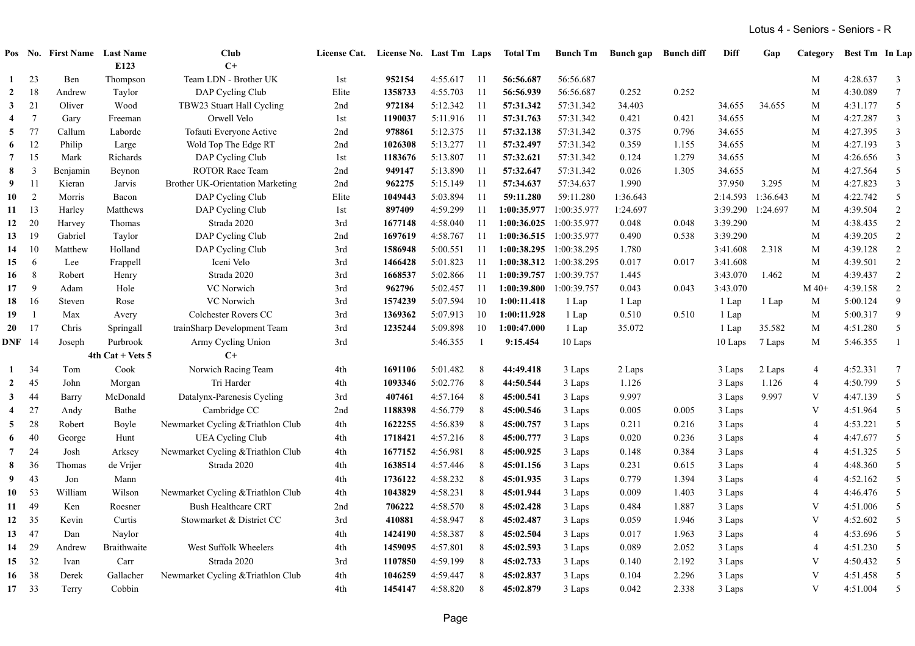|                         |                 | Pos No. First Name Last Name |                    | Club                                    |                 | License Cat. License No. Last Tm Laps |          |                | <b>Total Tm</b> | <b>Bunch Tm</b>         | <b>Bunch</b> gap | <b>Bunch diff</b> | Diff     | Gap               | Category       | Best Tm In Lap |                 |
|-------------------------|-----------------|------------------------------|--------------------|-----------------------------------------|-----------------|---------------------------------------|----------|----------------|-----------------|-------------------------|------------------|-------------------|----------|-------------------|----------------|----------------|-----------------|
|                         |                 |                              | E123               | $C+$                                    |                 |                                       |          |                |                 |                         |                  |                   |          |                   |                |                |                 |
| $\mathbf{1}$            | 23              | Ben                          | Thompson           | Team LDN - Brother UK                   | 1st             | 952154                                | 4:55.617 | - 11           | 56:56.687       | 56:56.687               |                  |                   |          |                   | M              | 4:28.637       | $\mathfrak{Z}$  |
| $\overline{2}$          | 18              | Andrew                       | Taylor             | DAP Cycling Club                        | Elite           | 1358733                               | 4:55.703 | 11             | 56:56.939       | 56:56.687               | 0.252            | 0.252             |          |                   | M              | 4:30.089       | $7\overline{ }$ |
| $\mathbf{3}$            | 21              | Oliver                       | Wood               | TBW23 Stuart Hall Cycling               | 2nd             | 972184                                | 5:12.342 | 11             | 57:31.342       | 57:31.342               | 34.403           |                   | 34.655   | 34.655            | M              | 4:31.177       | 5               |
| $\overline{4}$          | $7\phantom{.0}$ | Gary                         | Freeman            | Orwell Velo                             | 1st             | 1190037                               | 5:11.916 | 11             | 57:31.763       | 57:31.342               | 0.421            | 0.421             | 34.655   |                   | M              | 4:27.287       | 3               |
| 5                       | 77              | Callum                       | Laborde            | Tofauti Everyone Active                 | 2nd             | 978861                                | 5:12.375 | -11            | 57:32.138       | 57:31.342               | 0.375            | 0.796             | 34.655   |                   | M              | 4:27.395       | 3               |
| 6                       | 12              | Philip                       | Large              | Wold Top The Edge RT                    | 2nd             | 1026308                               | 5:13.277 | -11            | 57:32.497       | 57:31.342               | 0.359            | 1.155             | 34.655   |                   | M              | 4:27.193       | $\overline{3}$  |
| 7                       | 15              | Mark                         | Richards           | DAP Cycling Club                        | 1st             | 1183676                               | 5:13.807 | 11             | 57:32.621       | 57:31.342               | 0.124            | 1.279             | 34.655   |                   | M              | 4:26.656       | $\mathbf{3}$    |
| 8                       | $\overline{3}$  | Benjamin                     | Beynon             | ROTOR Race Team                         | 2nd             | 949147                                | 5:13.890 | 11             | 57:32.647       | 57:31.342               | 0.026            | 1.305             | 34.655   |                   | M              | 4:27.564       | $\mathfrak{S}$  |
| 9                       | -11             | Kieran                       | Jarvis             | <b>Brother UK-Orientation Marketing</b> | 2nd             | 962275                                | 5:15.149 | 11             | 57:34.637       | 57:34.637               | 1.990            |                   | 37.950   | 3.295             | M              | 4:27.823       | $\mathbf{3}$    |
| 10                      | 2               | Morris                       | Bacon              | DAP Cycling Club                        | Elite           | 1049443                               | 5:03.894 | 11             | 59:11.280       | 59:11.280               | 1:36.643         |                   | 2:14.593 | 1:36.643          | M              | 4:22.742       | $\sqrt{5}$      |
| 11                      | 13              | Harley                       | Matthews           | DAP Cycling Club                        | 1 <sub>st</sub> | 897409                                | 4:59.299 | 11             |                 | 1:00:35.977 1:00:35.977 | 1:24.697         |                   |          | 3:39.290 1:24.697 | M              | 4:39.504       | $\overline{2}$  |
| 12                      | 20              | Harvey                       | Thomas             | Strada 2020                             | 3rd             | 1677148                               | 4:58.040 | 11             |                 | 1:00:36.025 1:00:35.977 | 0.048            | 0.048             | 3:39.290 |                   | M              | 4:38.435       | $\overline{2}$  |
| 13                      | 19              | Gabriel                      | Taylor             | DAP Cycling Club                        | 2nd             | 1697619                               | 4:58.767 | 11             |                 | 1:00:36.515 1:00:35.977 | 0.490            | 0.538             | 3:39.290 |                   | M              | 4:39.205       | $\overline{2}$  |
| 14                      | 10              | Matthew                      | Holland            | DAP Cycling Club                        | 3rd             | 1586948                               | 5:00.551 | 11             |                 | 1:00:38.295 1:00:38.295 | 1.780            |                   | 3:41.608 | 2.318             | M              | 4:39.128       | $\overline{2}$  |
| 15                      | 6               | Lee                          | Frappell           | Iceni Velo                              | 3rd             | 1466428                               | 5:01.823 | 11             |                 | 1:00:38.312 1:00:38.295 | 0.017            | 0.017             | 3:41.608 |                   | M              | 4:39.501       | $\overline{2}$  |
| 16                      | 8               | Robert                       | Henry              | Strada 2020                             | 3rd             | 1668537                               | 5:02.866 | 11             |                 | 1:00:39.757 1:00:39.757 | 1.445            |                   | 3:43.070 | 1.462             | M              | 4:39.437       | $\overline{2}$  |
| 17                      | 9               | Adam                         | Hole               | VC Norwich                              | 3rd             | 962796                                | 5:02.457 | 11             | 1:00:39.800     | 1:00:39.757             | 0.043            | 0.043             | 3:43.070 |                   | $M$ 40+        | 4:39.158       | $\sqrt{2}$      |
| 18                      | 16              | Steven                       | Rose               | VC Norwich                              | 3rd             | 1574239                               | 5:07.594 | 10             | 1:00:11.418     | 1 Lap                   | 1 Lap            |                   | 1 Lap    | 1 Lap             | M              | 5:00.124       | $\overline{9}$  |
| 19                      | $\overline{1}$  | Max                          | Avery              | Colchester Rovers CC                    | 3rd             | 1369362                               | 5:07.913 | 10             | 1:00:11.928     | 1 Lap                   | 0.510            | 0.510             | 1 Lap    |                   | M              | 5:00.317       | 9               |
| 20                      | 17              | Chris                        | Springall          | trainSharp Development Team             | 3rd             | 1235244                               | 5:09.898 | 10             | 1:00:47.000     | 1 Lap                   | 35.072           |                   | 1 Lap    | 35.582            | M              | 4:51.280       | $\sqrt{5}$      |
| <b>DNF</b> 14           |                 | Joseph                       | Purbrook           | Army Cycling Union                      | 3rd             |                                       | 5:46.355 | $\overline{1}$ | 9:15.454        | 10 Laps                 |                  |                   | 10 Laps  | 7 Laps            | M              | 5:46.355       | -1              |
|                         |                 |                              | $4th$ Cat + Vets 5 | $C+$                                    |                 |                                       |          |                |                 |                         |                  |                   |          |                   |                |                |                 |
| 1                       | 34              | Tom                          | Cook               | Norwich Racing Team                     | 4th             | 1691106                               | 5:01.482 | 8              | 44:49.418       | 3 Laps                  | 2 Laps           |                   | 3 Laps   | 2 Laps            | $\overline{4}$ | 4:52.331       | $\tau$          |
| $\mathbf{2}$            | 45              | John                         | Morgan             | Tri Harder                              | 4th             | 1093346                               | 5:02.776 | 8              | 44:50.544       | 3 Laps                  | 1.126            |                   | 3 Laps   | 1.126             | $\overline{4}$ | 4:50.799       | 5               |
| $\mathbf{3}$            | 44              | Barry                        | McDonald           | Datalynx-Parenesis Cycling              | 3rd             | 407461                                | 4:57.164 | 8              | 45:00.541       | 3 Laps                  | 9.997            |                   | 3 Laps   | 9.997             | V              | 4:47.139       | 5               |
| $\overline{\mathbf{4}}$ | 27              | Andy                         | Bathe              | Cambridge CC                            | 2nd             | 1188398                               | 4:56.779 | 8              | 45:00.546       | 3 Laps                  | 0.005            | 0.005             | 3 Laps   |                   | V              | 4:51.964       | 5               |
| 5                       | 28              | Robert                       | Boyle              | Newmarket Cycling & Triathlon Club      | 4th             | 1622255                               | 4:56.839 | 8              | 45:00.757       | 3 Laps                  | 0.211            | 0.216             | 3 Laps   |                   | $\overline{4}$ | 4:53.221       | 5               |
| 6                       | 40              | George                       | Hunt               | <b>UEA Cycling Club</b>                 | 4th             | 1718421                               | 4:57.216 | 8              | 45:00.777       | 3 Laps                  | 0.020            | 0.236             | 3 Laps   |                   | $\overline{4}$ | 4:47.677       | $\sqrt{5}$      |
| 7                       | 24              | Josh                         | Arksey             | Newmarket Cycling & Triathlon Club      | 4th             | 1677152                               | 4:56.981 | 8              | 45:00.925       | 3 Laps                  | 0.148            | 0.384             | 3 Laps   |                   | $\overline{4}$ | 4:51.325       | 5               |
| 8                       | 36              | Thomas                       | de Vrijer          | Strada 2020                             | 4th             | 1638514                               | 4:57.446 | 8              | 45:01.156       | 3 Laps                  | 0.231            | 0.615             | 3 Laps   |                   | $\overline{4}$ | 4:48.360       | 5               |
| 9                       | 43              | Jon                          | Mann               |                                         | 4th             | 1736122                               | 4:58.232 | 8              | 45:01.935       | 3 Laps                  | 0.779            | 1.394             | 3 Laps   |                   | $\overline{4}$ | 4:52.162       | $\sqrt{5}$      |
| 10                      | 53              | William                      | Wilson             | Newmarket Cycling & Triathlon Club      | 4th             | 1043829                               | 4:58.231 | 8              | 45:01.944       | 3 Laps                  | 0.009            | 1.403             | 3 Laps   |                   | $\overline{4}$ | 4:46.476       | 5               |
| 11                      | 49              | Ken                          | Roesner            | <b>Bush Healthcare CRT</b>              | 2nd             | 706222                                | 4:58.570 | 8              | 45:02.428       | 3 Laps                  | 0.484            | 1.887             | 3 Laps   |                   | V              | 4:51.006       | 5               |
| 12                      | 35              | Kevin                        | Curtis             | Stowmarket & District CC                | 3rd             | 410881                                | 4:58.947 | 8              | 45:02.487       | 3 Laps                  | 0.059            | 1.946             | 3 Laps   |                   | V              | 4:52.602       | 5               |
| 13                      | 47              | Dan                          | Naylor             |                                         | 4th             | 1424190                               | 4:58.387 | 8              | 45:02.504       |                         | 0.017            | 1.963             | 3 Laps   |                   | $\overline{4}$ | 4:53.696       | 5               |
| 14                      | 29              | Andrew                       | Braithwaite        | West Suffolk Wheelers                   | 4th             | 1459095                               | 4:57.801 | 8              |                 | 3 Laps                  | 0.089            | 2.052             | 3 Laps   |                   | $\overline{4}$ | 4:51.230       | 5               |
|                         |                 |                              |                    |                                         |                 |                                       |          |                | 45:02.593       | 3 Laps                  |                  |                   |          |                   | V              |                |                 |
| 15                      | 32              | Ivan                         | Carr               | Strada 2020                             | 3rd             | 1107850                               | 4:59.199 | 8              | 45:02.733       | 3 Laps                  | 0.140            | 2.192             | 3 Laps   |                   |                | 4:50.432       | 5               |
| 16                      | 38              | Derek                        | Gallacher          | Newmarket Cycling & Triathlon Club      | 4th             | 1046259                               | 4:59.447 | 8              | 45:02.837       | 3 Laps                  | 0.104            | 2.296             | 3 Laps   |                   | V              | 4:51.458       | 5               |
| 17 33                   |                 | Terry                        | Cobbin             |                                         | 4th             | 1454147                               | 4:58.820 | 8              | 45:02.879       | 3 Laps                  | 0.042            | 2.338             | 3 Laps   |                   | $\mathbf{V}$   | 4:51.004       | 5               |